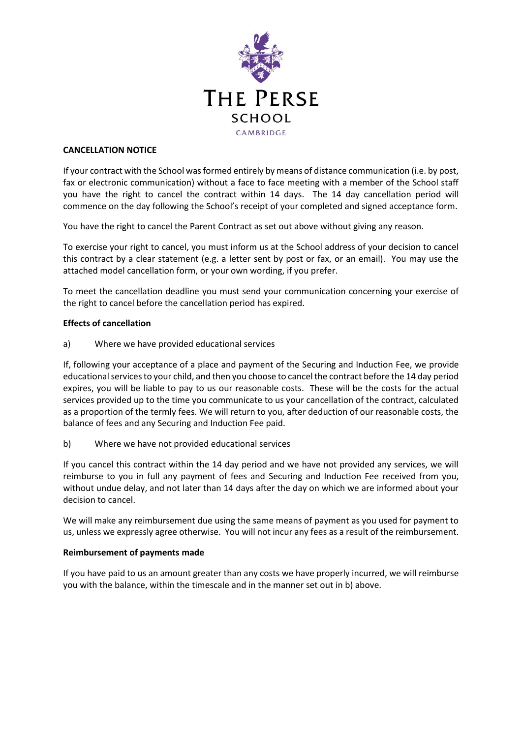

## **CANCELLATION NOTICE**

If your contract with the School was formed entirely by means of distance communication (i.e. by post, fax or electronic communication) without a face to face meeting with a member of the School staff you have the right to cancel the contract within 14 days. The 14 day cancellation period will commence on the day following the School's receipt of your completed and signed acceptance form.

You have the right to cancel the Parent Contract as set out above without giving any reason.

To exercise your right to cancel, you must inform us at the School address of your decision to cancel this contract by a clear statement (e.g. a letter sent by post or fax, or an email). You may use the attached model cancellation form, or your own wording, if you prefer.

To meet the cancellation deadline you must send your communication concerning your exercise of the right to cancel before the cancellation period has expired.

# **Effects of cancellation**

a) Where we have provided educational services

If, following your acceptance of a place and payment of the Securing and Induction Fee, we provide educational services to your child, and then you choose to cancel the contract before the 14 day period expires, you will be liable to pay to us our reasonable costs. These will be the costs for the actual services provided up to the time you communicate to us your cancellation of the contract, calculated as a proportion of the termly fees. We will return to you, after deduction of our reasonable costs, the balance of fees and any Securing and Induction Fee paid.

b) Where we have not provided educational services

If you cancel this contract within the 14 day period and we have not provided any services, we will reimburse to you in full any payment of fees and Securing and Induction Fee received from you, without undue delay, and not later than 14 days after the day on which we are informed about your decision to cancel.

We will make any reimbursement due using the same means of payment as you used for payment to us, unless we expressly agree otherwise. You will not incur any fees as a result of the reimbursement.

#### **Reimbursement of payments made**

If you have paid to us an amount greater than any costs we have properly incurred, we will reimburse you with the balance, within the timescale and in the manner set out in b) above.